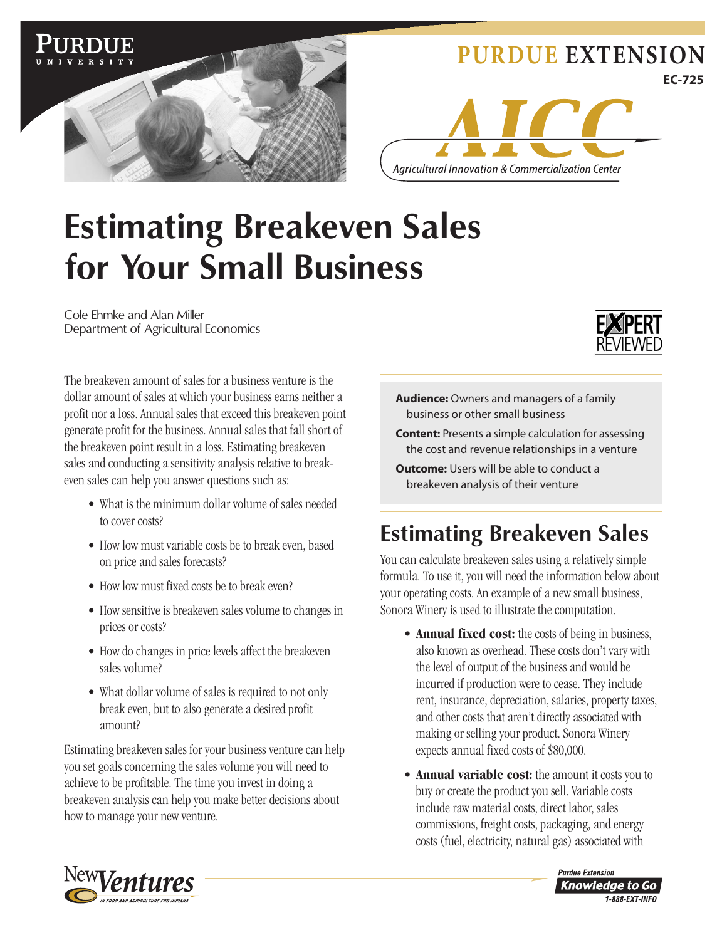

#### **[PURDUE EXTENSION](http://www.ces.purdue.edu/) EC-725**



# **Estimating Breakeven Sales for Your Small Business**

Cole Ehmke and Alan Miller Department of Agricultural Economics



The breakeven amount of sales for a business venture is the dollar amount of sales at which your business earns neither a profit nor a loss. Annual sales that exceed this breakeven point generate profit for the business. Annual sales that fall short of the breakeven point result in a loss. Estimating breakeven sales and conducting a sensitivity analysis relative to breakeven sales can help you answer questions such as:

- What is the minimum dollar volume of sales needed to cover costs?
- How low must variable costs be to break even, based on price and sales forecasts?
- How low must fixed costs be to break even?
- How sensitive is breakeven sales volume to changes in prices or costs?
- How do changes in price levels affect the breakeven sales volume?
- What dollar volume of sales is required to not only break even, but to also generate a desired profit amount?

Estimating breakeven sales for your business venture can help you set goals concerning the sales volume you will need to achieve to be profitable. The time you invest in doing a breakeven analysis can help you make better decisions about how to manage your new venture.



- **Content:** Presents a simple calculation for assessing the cost and revenue relationships in a venture
- **Outcome:** Users will be able to conduct a breakeven analysis of their venture

## **Estimating Breakeven Sales**

You can calculate breakeven sales using a relatively simple formula. To use it, you will need the information below about your operating costs. An example of a new small business, Sonora Winery is used to illustrate the computation.

- **Annual fixed cost:** the costs of being in business, also known as overhead. These costs don't vary with the level of output of the business and would be incurred if production were to cease. They include rent, insurance, depreciation, salaries, property taxes, and other costs that aren't directly associated with making or selling your product. Sonora Winery expects annual fixed costs of \$80,000.
- **Annual variable cost:** the amount it costs you to buy or create the product you sell. Variable costs include raw material costs, direct labor, sales commissions, freight costs, packaging, and energy costs (fuel, electricity, natural gas) associated with



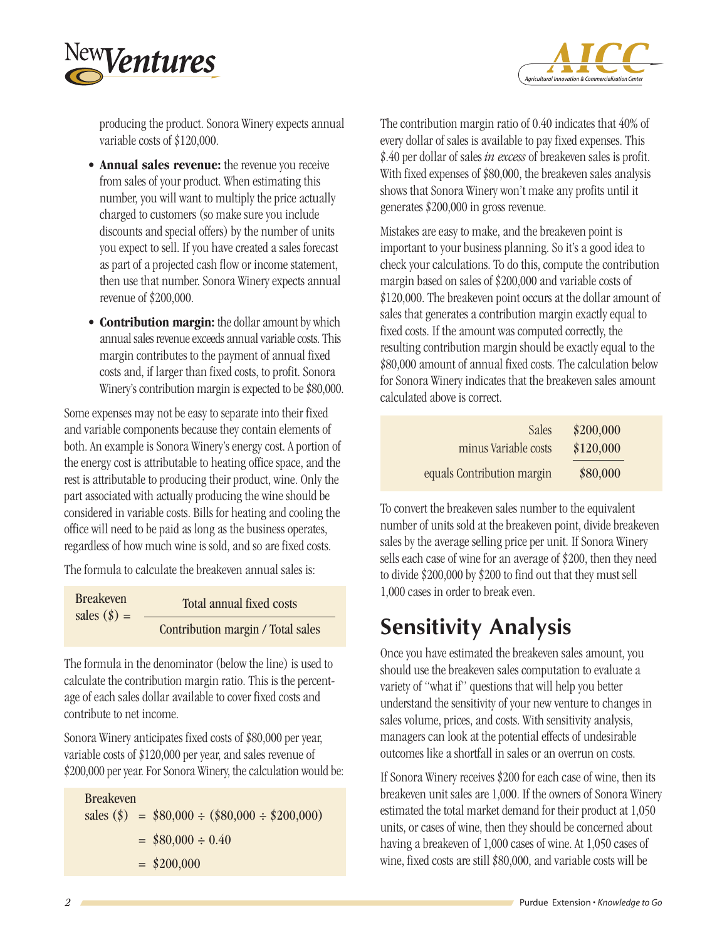



producing the product. Sonora Winery expects annual variable costs of \$120,000.

- **Annual sales revenue:** the revenue you receive from sales of your product. When estimating this number, you will want to multiply the price actually charged to customers (so make sure you include discounts and special offers) by the number of units you expect to sell. If you have created a sales forecast as part of a projected cash flow or income statement, then use that number. Sonora Winery expects annual revenue of \$200,000.
- **Contribution margin:** the dollar amount by which annual sales revenue exceeds annual variable costs. This margin contributes to the payment of annual fixed costs and, if larger than fixed costs, to profit. Sonora Winery's contribution margin is expected to be \$80,000.

Some expenses may not be easy to separate into their fixed and variable components because they contain elements of both. An example is Sonora Winery's energy cost. A portion of the energy cost is attributable to heating office space, and the rest is attributable to producing their product, wine. Only the part associated with actually producing the wine should be considered in variable costs. Bills for heating and cooling the office will need to be paid as long as the business operates, regardless of how much wine is sold, and so are fixed costs.

The formula to calculate the breakeven annual sales is:

```
Total annual fixed costs
                 Contribution margin / Total sales
Breakeven 
sales (\$) =
```
The formula in the denominator (below the line) is used to calculate the contribution margin ratio. This is the percentage of each sales dollar available to cover fixed costs and contribute to net income.

Sonora Winery anticipates fixed costs of \$80,000 per year, variable costs of \$120,000 per year, and sales revenue of \$200,000 per year. For Sonora Winery, the calculation would be:

Breakeven  $sales (\$) = $80,000 \div ($80,000 \div $200,000)$  $=$  \$80,000  $\div$  0.40  $=$  \$200,000

The contribution margin ratio of 0.40 indicates that 40% of every dollar of sales is available to pay fixed expenses. This \$.40 per dollar of sales *in excess* of breakeven sales is profit. With fixed expenses of \$80,000, the breakeven sales analysis shows that Sonora Winery won't make any profits until it generates \$200,000 in gross revenue.

Mistakes are easy to make, and the breakeven point is important to your business planning. So it's a good idea to check your calculations. To do this, compute the contribution margin based on sales of \$200,000 and variable costs of \$120,000. The breakeven point occurs at the dollar amount of sales that generates a contribution margin exactly equal to fixed costs. If the amount was computed correctly, the resulting contribution margin should be exactly equal to the \$80,000 amount of annual fixed costs. The calculation below for Sonora Winery indicates that the breakeven sales amount calculated above is correct.

| \$200,000 | Sales                      |
|-----------|----------------------------|
| \$120,000 | minus Variable costs       |
| \$80,000  | equals Contribution margin |

To convert the breakeven sales number to the equivalent number of units sold at the breakeven point, divide breakeven sales by the average selling price per unit. If Sonora Winery sells each case of wine for an average of \$200, then they need to divide \$200,000 by \$200 to find out that they must sell 1,000 cases in order to break even.

#### **Sensitivity Analysis**

Once you have estimated the breakeven sales amount, you should use the breakeven sales computation to evaluate a variety of "what if" questions that will help you better understand the sensitivity of your new venture to changes in sales volume, prices, and costs. With sensitivity analysis, managers can look at the potential effects of undesirable outcomes like a shortfall in sales or an overrun on costs.

If Sonora Winery receives \$200 for each case of wine, then its breakeven unit sales are 1,000. If the owners of Sonora Winery estimated the total market demand for their product at 1,050 units, or cases of wine, then they should be concerned about having a breakeven of 1,000 cases of wine. At 1,050 cases of wine, fixed costs are still \$80,000, and variable costs will be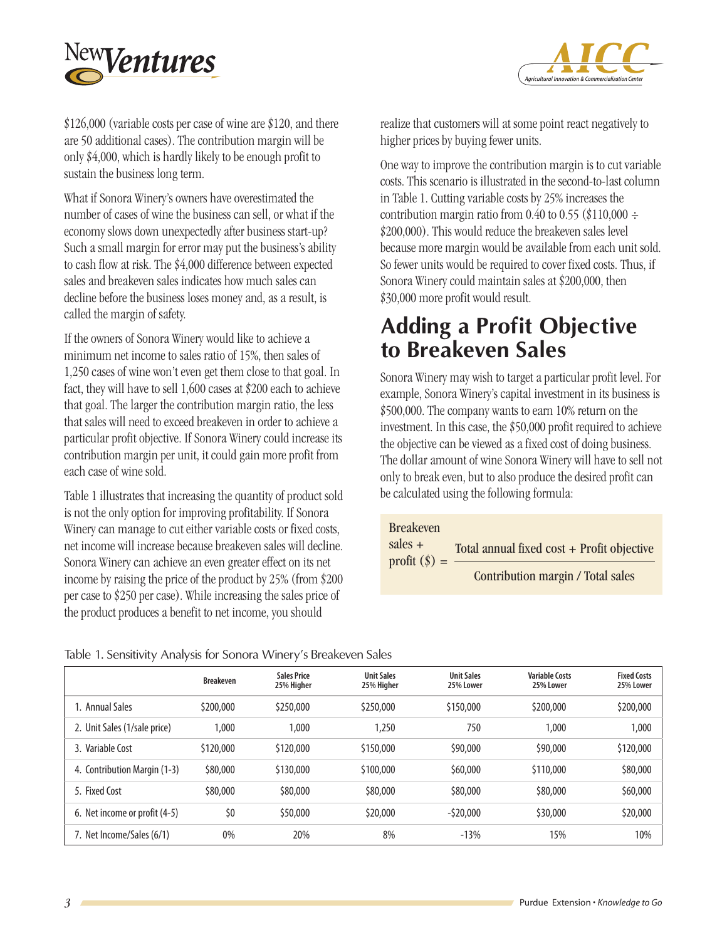



\$126,000 (variable costs per case of wine are \$120, and there are 50 additional cases). The contribution margin will be only \$4,000, which is hardly likely to be enough profit to sustain the business long term.

What if Sonora Winery's owners have overestimated the number of cases of wine the business can sell, or what if the economy slows down unexpectedly after business start-up? Such a small margin for error may put the business's ability to cash flow at risk. The \$4,000 difference between expected sales and breakeven sales indicates how much sales can decline before the business loses money and, as a result, is called the margin of safety.

If the owners of Sonora Winery would like to achieve a minimum net income to sales ratio of 15%, then sales of 1,250 cases of wine won't even get them close to that goal. In fact, they will have to sell 1,600 cases at \$200 each to achieve that goal. The larger the contribution margin ratio, the less that sales will need to exceed breakeven in order to achieve a particular profit objective. If Sonora Winery could increase its contribution margin per unit, it could gain more profit from each case of wine sold.

Table 1 illustrates that increasing the quantity of product sold is not the only option for improving profitability. If Sonora Winery can manage to cut either variable costs or fixed costs, net income will increase because breakeven sales will decline. Sonora Winery can achieve an even greater effect on its net income by raising the price of the product by 25% (from \$200 per case to \$250 per case). While increasing the sales price of the product produces a benefit to net income, you should

realize that customers will at some point react negatively to higher prices by buying fewer units.

One way to improve the contribution margin is to cut variable costs. This scenario is illustrated in the second-to-last column in Table 1. Cutting variable costs by 25% increases the contribution margin ratio from 0.40 to 0.55 (\$110,000  $\div$ \$200,000). This would reduce the breakeven sales level because more margin would be available from each unit sold. So fewer units would be required to cover fixed costs. Thus, if Sonora Winery could maintain sales at \$200,000, then \$30,000 more profit would result.

#### **Adding a Profit Objective to Breakeven Sales**

Sonora Winery may wish to target a particular profit level. For example, Sonora Winery's capital investment in its business is \$500,000. The company wants to earn 10% return on the investment. In this case, the \$50,000 profit required to achieve the objective can be viewed as a fixed cost of doing business. The dollar amount of wine Sonora Winery will have to sell not only to break even, but to also produce the desired profit can be calculated using the following formula:

| <b>Breakeven</b> |                                            |
|------------------|--------------------------------------------|
| sales $+$        | Total annual fixed cost + Profit objective |
| profit $(\$) =$  | Contribution margin / Total sales          |

|  |  |  | Table 1. Sensitivity Analysis for Sonora Winery's Breakeven Sales |
|--|--|--|-------------------------------------------------------------------|
|--|--|--|-------------------------------------------------------------------|

|                               | <b>Breakeven</b> | <b>Sales Price</b><br>25% Higher | <b>Unit Sales</b><br>25% Higher | <b>Unit Sales</b><br>25% Lower | Variable Costs<br>25% Lower | <b>Fixed Costs</b><br>25% Lower |
|-------------------------------|------------------|----------------------------------|---------------------------------|--------------------------------|-----------------------------|---------------------------------|
| L. Annual Sales               | \$200,000        | \$250,000                        | \$250,000                       | \$150,000                      | \$200,000                   | \$200,000                       |
| 2. Unit Sales (1/sale price)  | 1,000            | 1.000                            | 1,250                           | 750                            | 1.000                       | 1,000                           |
| 3. Variable Cost              | \$120,000        | \$120,000                        | \$150,000                       | \$90,000                       | \$90,000                    | \$120,000                       |
| 4. Contribution Margin (1-3)  | \$80,000         | \$130,000                        | \$100,000                       | \$60,000                       | \$110,000                   | \$80,000                        |
| 5. Fixed Cost                 | \$80,000         | \$80,000                         | \$80,000                        | \$80,000                       | \$80,000                    | \$60,000                        |
| 6. Net income or profit (4-5) | \$0              | \$50,000                         | \$20,000                        | $-520,000$                     | \$30,000                    | \$20,000                        |
| 7. Net Income/Sales (6/1)     | 0%               | 20%                              | 8%                              | $-13%$                         | 15%                         | 10%                             |